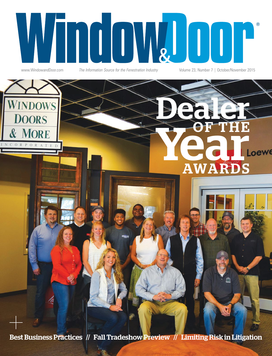

www.WindowandDoor.com *The Information Source for the Fenestration Industry* Volume 23, Number 7 | October/November 2015

Dealer

OF THE

AWARDS



Best Business Practices // Fall Tradeshow Preview // Limiting Risk in Litigation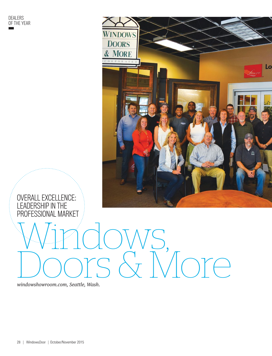

### OVERALL EXCELLENCE: LEADERSHIP IN THE PROFESSIONAL MARKET

Windows, Doors & More

windowshowroom.com, Seattle, Wash.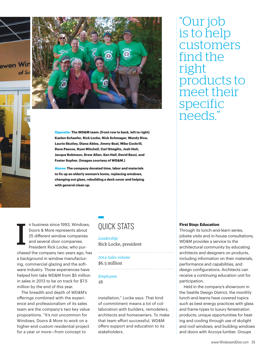



**Opposite: The WD&M team: (front row to back, left to right) Kaelen Schaefer, Rick Locke, Nick Schmager, Wendy Rice, Laurie Skutley, Diana Ables, Jimmy Boal, Mike Cockrill, Dave Pascoe, Ryan Mitchell, Carl Stieglitz, Josh Holt, Jacque Robinson, Drew Allen, Ken Hall, David Bazzi, and Foster Sopher. (Images courtesy of WD&M.)**

**Above: The company donated time, labor and materials to fix up an elderly woman's home, replacing windows, changing out glass, rebuilding a deck cover and helping with general clean up.** 

I n business since 1993, Windows, Doors & More represents about 25 different window companies and several door companies. President Rick Locke, who purchased the company two years ago, has a background in window manufacturing, commercial glazing and the software industry. Those experiences have helped him take WD&M from \$5 million in sales in 2013 to be on track for \$7.5 million by the end of this year.

The breadth and depth of WD&M's offerings combined with the experience and professionalism of its sales team are the company's two key value propositions. "It's not uncommon for Windows, Doors & More to work on a higher-end custom residential project for a year or more—from concept to

## QUICK STATS

Leadership Rick Locke, president

2014 Sales volume \$6.5 million

Employees 18

installation," Locke says. That kind of commitment means a lot of collaboration with builders, remodelers, architects and homeowners. To make that team effort successful, WD&M offers support and education to its stakeholders.

"Our job is to help customers find the right products to meet their specific needs."

### **First Stop: Education**

Through its lunch-and-learn series, jobsite visits and in-house consultations, WD&M provides a service to the architectural community by educating architects and designers on products, including information on their materials, performance and capabilities, and design configurations. Architects can receive a continuing education unit for participation.

Held in the company's showroom in the Seattle Design District, the monthly lunch-and-learns have covered topics such as best energy practices with glass and frame types to luxury fenestration products; unique opportunities for heating and cooling through use of skylight and roof windows; and building windows and doors with Accoya lumber. Groups